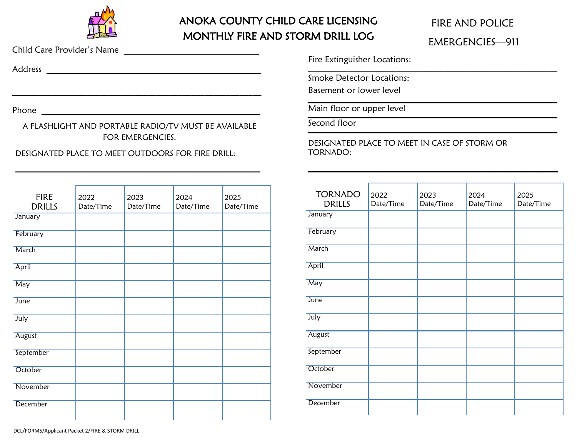

### ANOKA COUNTY CHILD CARE LICENSING MONTHLY FIRE AND STORM DRILL LOG

## FIRE AND POLICE EMERGENCIES—911

Child Care Provider's Name \_\_\_\_\_\_\_\_\_\_\_\_\_\_\_\_\_\_\_\_\_\_\_\_\_\_\_\_\_\_\_

Address **and a set of the set of the set of the set of the set of the set of the set of the set of the set of the set of the set of the set of the set of the set of the set of the set of the set of the set of the set of th** 

Phone \_\_\_\_\_\_\_\_\_\_\_\_\_\_\_\_\_\_\_\_\_\_\_\_\_\_\_\_\_\_\_\_\_\_\_\_\_\_\_\_\_\_\_\_\_\_\_\_\_\_

A FLASHLIGHT AND PORTABLE RADIO/TV MUST BE AVAILABLE FOR EMERGENCIES.

\_\_\_\_\_\_\_\_\_\_\_\_\_\_\_\_\_\_\_\_\_\_\_\_\_\_\_\_\_\_\_\_\_\_\_\_\_\_\_\_\_\_\_\_\_\_\_\_\_\_\_\_\_\_\_\_

\_\_\_\_\_\_\_\_\_\_\_\_\_\_\_\_\_\_\_\_\_\_\_\_\_\_\_\_\_\_\_\_\_\_\_\_\_\_\_\_\_\_\_\_\_\_\_\_\_\_\_\_\_\_\_\_\_

#### DESIGNATED PLACE TO MEET OUTDOORS FOR FIRE DRILL:

| <b>FIRE</b><br><b>DRILLS</b> | 2022<br>Date/Time | 2023<br>Date/Time | 2024<br>Date/Time | 2025<br>Date/Time |
|------------------------------|-------------------|-------------------|-------------------|-------------------|
| January                      |                   |                   |                   |                   |
| February                     |                   |                   |                   |                   |
| March                        |                   |                   |                   |                   |
| April                        |                   |                   |                   |                   |
| May                          |                   |                   |                   |                   |
| June                         |                   |                   |                   |                   |
| July                         |                   |                   |                   |                   |
| August                       |                   |                   |                   |                   |
| September                    |                   |                   |                   |                   |
| October                      |                   |                   |                   |                   |
| November                     |                   |                   |                   |                   |
| December                     |                   |                   |                   |                   |

Fire Extinguisher Locations:  $\overline{\phantom{a}}$  ,  $\overline{\phantom{a}}$  ,  $\overline{\phantom{a}}$  ,  $\overline{\phantom{a}}$  ,  $\overline{\phantom{a}}$  ,  $\overline{\phantom{a}}$  ,  $\overline{\phantom{a}}$  ,  $\overline{\phantom{a}}$  ,  $\overline{\phantom{a}}$  ,  $\overline{\phantom{a}}$  ,  $\overline{\phantom{a}}$  ,  $\overline{\phantom{a}}$  ,  $\overline{\phantom{a}}$  ,  $\overline{\phantom{a}}$  ,  $\overline{\phantom{a}}$  ,  $\overline{\phantom{a}}$ 

Smoke Detector Locations:

Basement or lower level  $\mathcal{L}_\text{max} = \mathcal{L}_\text{max} = \mathcal{L}_\text{max} = \mathcal{L}_\text{max} = \mathcal{L}_\text{max} = \mathcal{L}_\text{max} = \mathcal{L}_\text{max} = \mathcal{L}_\text{max} = \mathcal{L}_\text{max} = \mathcal{L}_\text{max} = \mathcal{L}_\text{max} = \mathcal{L}_\text{max} = \mathcal{L}_\text{max} = \mathcal{L}_\text{max} = \mathcal{L}_\text{max} = \mathcal{L}_\text{max} = \mathcal{L}_\text{max} = \mathcal{L}_\text{max} = \mathcal{$ 

Main floor or upper level **with a set of the set of the set of the set of the set of the set of the set of the s** 

Second floor  $\blacksquare$ 

DESIGNATED PLACE TO MEET IN CASE OF STORM OR TORNADO:

| <b>TORNADO</b><br><b>DRILLS</b> | 2022<br>Date/Time | 2023<br>Date/Time | 2024<br>Date/Time | 2025<br>Date/Time |
|---------------------------------|-------------------|-------------------|-------------------|-------------------|
| January                         |                   |                   |                   |                   |
| February                        |                   |                   |                   |                   |
| March                           |                   |                   |                   |                   |
| April                           |                   |                   |                   |                   |
| May                             |                   |                   |                   |                   |
| June                            |                   |                   |                   |                   |
| July                            |                   |                   |                   |                   |
| August                          |                   |                   |                   |                   |
| September                       |                   |                   |                   |                   |
| October                         |                   |                   |                   |                   |
| November                        |                   |                   |                   |                   |
| <b>December</b>                 |                   |                   |                   |                   |

\_\_\_\_\_\_\_\_\_\_\_\_\_\_\_\_\_\_\_\_\_\_\_\_\_\_\_\_\_\_\_\_\_\_\_\_\_\_\_\_\_\_\_\_\_\_\_\_\_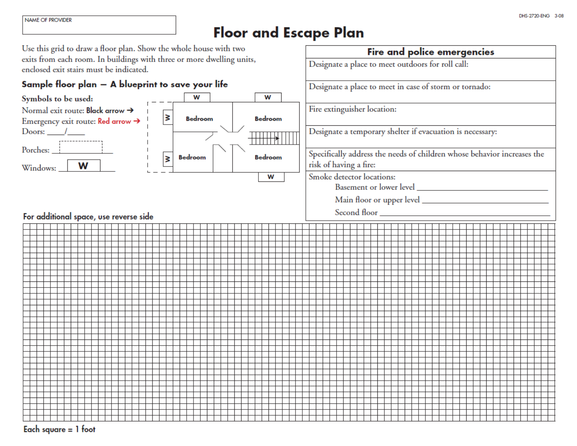Fire and police emergencies

Designate a place to meet outdoors for roll call:

# **Floor and Escape Plan**

Use this grid to draw a floor plan. Show the whole house with two exits from each room. In buildings with three or more dwelling units, enclosed exit stairs must be indicated.

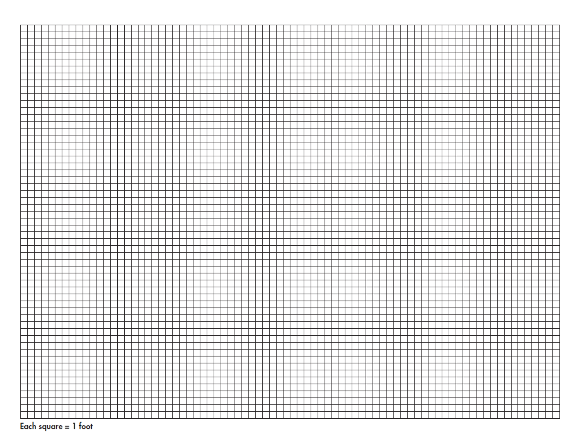| I.     |  |  |  |  |  |  |  |  |  |  |  |  |  |  |  |  |  |  |  |  |  |  |
|--------|--|--|--|--|--|--|--|--|--|--|--|--|--|--|--|--|--|--|--|--|--|--|
|        |  |  |  |  |  |  |  |  |  |  |  |  |  |  |  |  |  |  |  |  |  |  |
|        |  |  |  |  |  |  |  |  |  |  |  |  |  |  |  |  |  |  |  |  |  |  |
|        |  |  |  |  |  |  |  |  |  |  |  |  |  |  |  |  |  |  |  |  |  |  |
|        |  |  |  |  |  |  |  |  |  |  |  |  |  |  |  |  |  |  |  |  |  |  |
|        |  |  |  |  |  |  |  |  |  |  |  |  |  |  |  |  |  |  |  |  |  |  |
|        |  |  |  |  |  |  |  |  |  |  |  |  |  |  |  |  |  |  |  |  |  |  |
|        |  |  |  |  |  |  |  |  |  |  |  |  |  |  |  |  |  |  |  |  |  |  |
|        |  |  |  |  |  |  |  |  |  |  |  |  |  |  |  |  |  |  |  |  |  |  |
|        |  |  |  |  |  |  |  |  |  |  |  |  |  |  |  |  |  |  |  |  |  |  |
|        |  |  |  |  |  |  |  |  |  |  |  |  |  |  |  |  |  |  |  |  |  |  |
|        |  |  |  |  |  |  |  |  |  |  |  |  |  |  |  |  |  |  |  |  |  |  |
|        |  |  |  |  |  |  |  |  |  |  |  |  |  |  |  |  |  |  |  |  |  |  |
|        |  |  |  |  |  |  |  |  |  |  |  |  |  |  |  |  |  |  |  |  |  |  |
|        |  |  |  |  |  |  |  |  |  |  |  |  |  |  |  |  |  |  |  |  |  |  |
|        |  |  |  |  |  |  |  |  |  |  |  |  |  |  |  |  |  |  |  |  |  |  |
|        |  |  |  |  |  |  |  |  |  |  |  |  |  |  |  |  |  |  |  |  |  |  |
|        |  |  |  |  |  |  |  |  |  |  |  |  |  |  |  |  |  |  |  |  |  |  |
|        |  |  |  |  |  |  |  |  |  |  |  |  |  |  |  |  |  |  |  |  |  |  |
|        |  |  |  |  |  |  |  |  |  |  |  |  |  |  |  |  |  |  |  |  |  |  |
|        |  |  |  |  |  |  |  |  |  |  |  |  |  |  |  |  |  |  |  |  |  |  |
|        |  |  |  |  |  |  |  |  |  |  |  |  |  |  |  |  |  |  |  |  |  |  |
|        |  |  |  |  |  |  |  |  |  |  |  |  |  |  |  |  |  |  |  |  |  |  |
|        |  |  |  |  |  |  |  |  |  |  |  |  |  |  |  |  |  |  |  |  |  |  |
|        |  |  |  |  |  |  |  |  |  |  |  |  |  |  |  |  |  |  |  |  |  |  |
|        |  |  |  |  |  |  |  |  |  |  |  |  |  |  |  |  |  |  |  |  |  |  |
|        |  |  |  |  |  |  |  |  |  |  |  |  |  |  |  |  |  |  |  |  |  |  |
|        |  |  |  |  |  |  |  |  |  |  |  |  |  |  |  |  |  |  |  |  |  |  |
|        |  |  |  |  |  |  |  |  |  |  |  |  |  |  |  |  |  |  |  |  |  |  |
|        |  |  |  |  |  |  |  |  |  |  |  |  |  |  |  |  |  |  |  |  |  |  |
|        |  |  |  |  |  |  |  |  |  |  |  |  |  |  |  |  |  |  |  |  |  |  |
|        |  |  |  |  |  |  |  |  |  |  |  |  |  |  |  |  |  |  |  |  |  |  |
|        |  |  |  |  |  |  |  |  |  |  |  |  |  |  |  |  |  |  |  |  |  |  |
|        |  |  |  |  |  |  |  |  |  |  |  |  |  |  |  |  |  |  |  |  |  |  |
|        |  |  |  |  |  |  |  |  |  |  |  |  |  |  |  |  |  |  |  |  |  |  |
|        |  |  |  |  |  |  |  |  |  |  |  |  |  |  |  |  |  |  |  |  |  |  |
|        |  |  |  |  |  |  |  |  |  |  |  |  |  |  |  |  |  |  |  |  |  |  |
|        |  |  |  |  |  |  |  |  |  |  |  |  |  |  |  |  |  |  |  |  |  |  |
|        |  |  |  |  |  |  |  |  |  |  |  |  |  |  |  |  |  |  |  |  |  |  |
|        |  |  |  |  |  |  |  |  |  |  |  |  |  |  |  |  |  |  |  |  |  |  |
|        |  |  |  |  |  |  |  |  |  |  |  |  |  |  |  |  |  |  |  |  |  |  |
|        |  |  |  |  |  |  |  |  |  |  |  |  |  |  |  |  |  |  |  |  |  |  |
|        |  |  |  |  |  |  |  |  |  |  |  |  |  |  |  |  |  |  |  |  |  |  |
|        |  |  |  |  |  |  |  |  |  |  |  |  |  |  |  |  |  |  |  |  |  |  |
|        |  |  |  |  |  |  |  |  |  |  |  |  |  |  |  |  |  |  |  |  |  |  |
|        |  |  |  |  |  |  |  |  |  |  |  |  |  |  |  |  |  |  |  |  |  |  |
|        |  |  |  |  |  |  |  |  |  |  |  |  |  |  |  |  |  |  |  |  |  |  |
|        |  |  |  |  |  |  |  |  |  |  |  |  |  |  |  |  |  |  |  |  |  |  |
|        |  |  |  |  |  |  |  |  |  |  |  |  |  |  |  |  |  |  |  |  |  |  |
|        |  |  |  |  |  |  |  |  |  |  |  |  |  |  |  |  |  |  |  |  |  |  |
|        |  |  |  |  |  |  |  |  |  |  |  |  |  |  |  |  |  |  |  |  |  |  |
|        |  |  |  |  |  |  |  |  |  |  |  |  |  |  |  |  |  |  |  |  |  |  |
|        |  |  |  |  |  |  |  |  |  |  |  |  |  |  |  |  |  |  |  |  |  |  |
|        |  |  |  |  |  |  |  |  |  |  |  |  |  |  |  |  |  |  |  |  |  |  |
|        |  |  |  |  |  |  |  |  |  |  |  |  |  |  |  |  |  |  |  |  |  |  |
|        |  |  |  |  |  |  |  |  |  |  |  |  |  |  |  |  |  |  |  |  |  |  |
|        |  |  |  |  |  |  |  |  |  |  |  |  |  |  |  |  |  |  |  |  |  |  |
|        |  |  |  |  |  |  |  |  |  |  |  |  |  |  |  |  |  |  |  |  |  |  |
|        |  |  |  |  |  |  |  |  |  |  |  |  |  |  |  |  |  |  |  |  |  |  |
|        |  |  |  |  |  |  |  |  |  |  |  |  |  |  |  |  |  |  |  |  |  |  |
|        |  |  |  |  |  |  |  |  |  |  |  |  |  |  |  |  |  |  |  |  |  |  |
|        |  |  |  |  |  |  |  |  |  |  |  |  |  |  |  |  |  |  |  |  |  |  |
|        |  |  |  |  |  |  |  |  |  |  |  |  |  |  |  |  |  |  |  |  |  |  |
|        |  |  |  |  |  |  |  |  |  |  |  |  |  |  |  |  |  |  |  |  |  |  |
| Г      |  |  |  |  |  |  |  |  |  |  |  |  |  |  |  |  |  |  |  |  |  |  |
|        |  |  |  |  |  |  |  |  |  |  |  |  |  |  |  |  |  |  |  |  |  |  |
| П      |  |  |  |  |  |  |  |  |  |  |  |  |  |  |  |  |  |  |  |  |  |  |
| П      |  |  |  |  |  |  |  |  |  |  |  |  |  |  |  |  |  |  |  |  |  |  |
| Г      |  |  |  |  |  |  |  |  |  |  |  |  |  |  |  |  |  |  |  |  |  |  |
|        |  |  |  |  |  |  |  |  |  |  |  |  |  |  |  |  |  |  |  |  |  |  |
| П      |  |  |  |  |  |  |  |  |  |  |  |  |  |  |  |  |  |  |  |  |  |  |
| П      |  |  |  |  |  |  |  |  |  |  |  |  |  |  |  |  |  |  |  |  |  |  |
| $\Box$ |  |  |  |  |  |  |  |  |  |  |  |  |  |  |  |  |  |  |  |  |  |  |
|        |  |  |  |  |  |  |  |  |  |  |  |  |  |  |  |  |  |  |  |  |  |  |

Each square = foot